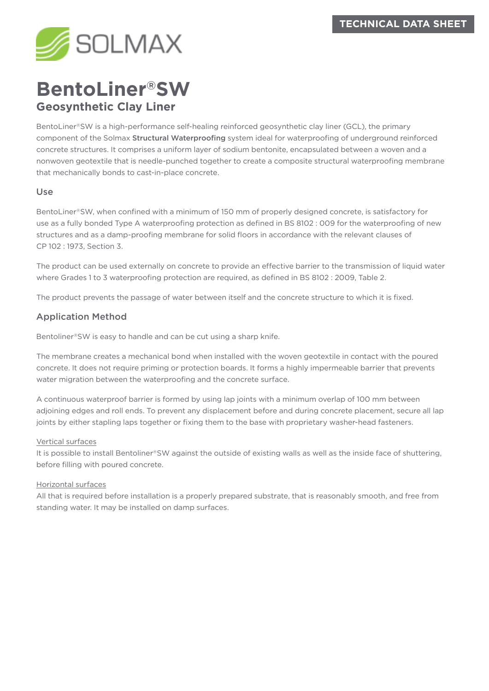

# **BentoLiner®SW Geosynthetic Clay Liner**

BentoLiner®SW is a high-performance self-healing reinforced geosynthetic clay liner (GCL), the primary component of the Solmax Structural Waterproofing system ideal for waterproofing of underground reinforced concrete structures. It comprises a uniform layer of sodium bentonite, encapsulated between a woven and a nonwoven geotextile that is needle-punched together to create a composite structural waterproofing membrane that mechanically bonds to cast-in-place concrete.

#### Use

BentoLiner®SW, when confined with a minimum of 150 mm of properly designed concrete, is satisfactory for use as a fully bonded Type A waterproofing protection as defined in BS 8102 : 009 for the waterproofing of new structures and as a damp-proofing membrane for solid floors in accordance with the relevant clauses of CP 102 : 1973, Section 3.

The product can be used externally on concrete to provide an effective barrier to the transmission of liquid water where Grades 1 to 3 waterproofing protection are required, as defined in BS 8102 : 2009, Table 2.

The product prevents the passage of water between itself and the concrete structure to which it is fixed.

### Application Method

Bentoliner®SW is easy to handle and can be cut using a sharp knife.

The membrane creates a mechanical bond when installed with the woven geotextile in contact with the poured concrete. It does not require priming or protection boards. It forms a highly impermeable barrier that prevents water migration between the waterproofing and the concrete surface.

A continuous waterproof barrier is formed by using lap joints with a minimum overlap of 100 mm between adjoining edges and roll ends. To prevent any displacement before and during concrete placement, secure all lap joints by either stapling laps together or fixing them to the base with proprietary washer-head fasteners.

#### Vertical surfaces

It is possible to install Bentoliner®SW against the outside of existing walls as well as the inside face of shuttering, before filling with poured concrete.

#### Horizontal surfaces

All that is required before installation is a properly prepared substrate, that is reasonably smooth, and free from standing water. It may be installed on damp surfaces.